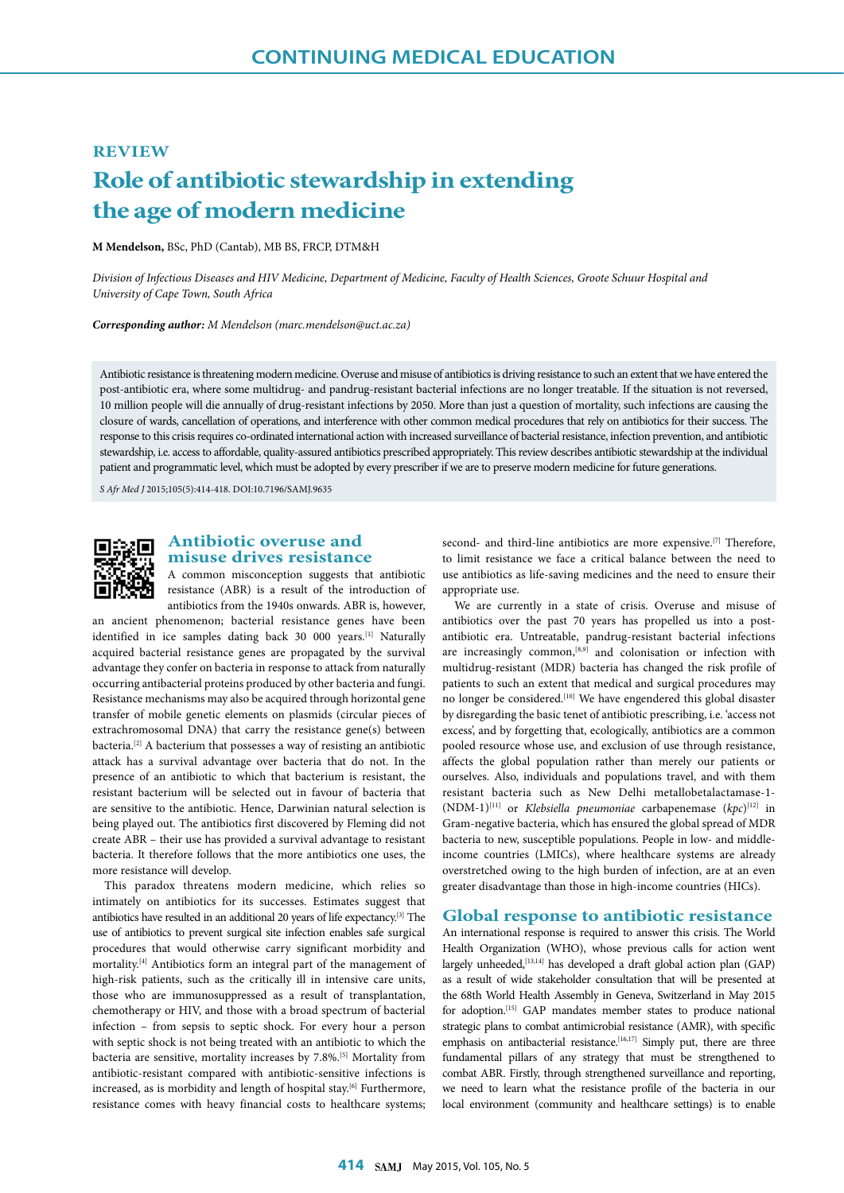## **REVIEW**

# **Role of antibiotic stewardship in extending the age of modern medicine**

**M Mendelson,** BSc, PhD (Cantab), MB BS, FRCP, DTM&H

*Division of Infectious Diseases and HIV Medicine, Department of Medicine, Faculty of Health Sciences, Groote Schuur Hospital and University of Cape Town, South Africa*

#### *Corresponding author: M Mendelson (marc.mendelson@uct.ac.za)*

Antibiotic resistance is threatening modern medicine. Overuse and misuse of antibiotics is driving resistance to such an extent that we have entered the post-antibiotic era, where some multidrug- and pandrug-resistant bacterial infections are no longer treatable. If the situation is not reversed, 10 million people will die annually of drug-resistant infections by 2050. More than just a question of mortality, such infections are causing the closure of wards, cancellation of operations, and interference with other common medical procedures that rely on antibiotics for their success. The response to this crisis requires co-ordinated international action with increased surveillance of bacterial resistance, infection prevention, and antibiotic stewardship, i.e. access to affordable, quality-assured antibiotics prescribed appropriately. This review describes antibiotic stewardship at the individual patient and programmatic level, which must be adopted by every prescriber if we are to preserve modern medicine for future generations.

*S Afr Med J* 2015;105(5):414-418. DOI:10.7196/SAMJ.9635



# **Antibiotic overuse and misuse drives resistance**

A common misconception suggests that antibiotic resistance (ABR) is a result of the introduction of antibiotics from the 1940s onwards. ABR is, however,

an ancient phenomenon; bacterial resistance genes have been identified in ice samples dating back 30 000 years.<sup>[1]</sup> Naturally acquired bacterial resistance genes are propagated by the survival advantage they confer on bacteria in response to attack from naturally occurring antibacterial proteins produced by other bacteria and fungi. Resistance mechanisms may also be acquired through horizontal gene transfer of mobile genetic elements on plasmids (circular pieces of extrachromosomal DNA) that carry the resistance gene(s) between bacteria.[2] A bacterium that possesses a way of resisting an antibiotic attack has a survival advantage over bacteria that do not. In the presence of an antibiotic to which that bacterium is resistant, the resistant bacterium will be selected out in favour of bacteria that are sensitive to the antibiotic. Hence, Darwinian natural selection is being played out. The antibiotics first discovered by Fleming did not create ABR – their use has provided a survival advantage to resistant bacteria. It therefore follows that the more antibiotics one uses, the more resistance will develop.

This paradox threatens modern medicine, which relies so intimately on antibiotics for its successes. Estimates suggest that antibiotics have resulted in an additional 20 years of life expectancy.[3] The use of antibiotics to prevent surgical site infection enables safe surgical procedures that would otherwise carry significant morbidity and mortality.[4] Antibiotics form an integral part of the management of high-risk patients, such as the critically ill in intensive care units, those who are immunosuppressed as a result of transplantation, chemotherapy or HIV, and those with a broad spectrum of bacterial infection – from sepsis to septic shock. For every hour a person with septic shock is not being treated with an antibiotic to which the bacteria are sensitive, mortality increases by 7.8%.[5] Mortality from antibiotic-resistant compared with antibiotic-sensitive infections is increased, as is morbidity and length of hospital stay.<sup>[6]</sup> Furthermore, resistance comes with heavy financial costs to healthcare systems; second- and third-line antibiotics are more expensive.<sup>[7]</sup> Therefore, to limit resistance we face a critical balance between the need to use antibiotics as life-saving medicines and the need to ensure their appropriate use.

We are currently in a state of crisis. Overuse and misuse of antibiotics over the past 70 years has propelled us into a postantibiotic era. Untreatable, pandrug-resistant bacterial infections are increasingly common,[8,9] and colonisation or infection with multidrug-resistant (MDR) bacteria has changed the risk profile of patients to such an extent that medical and surgical procedures may no longer be considered.<sup>[10]</sup> We have engendered this global disaster by disregarding the basic tenet of antibiotic prescribing, i.e. 'access not excess', and by forgetting that, ecologically, antibiotics are a common pooled resource whose use, and exclusion of use through resistance, affects the global population rather than merely our patients or ourselves. Also, individuals and populations travel, and with them resistant bacteria such as New Delhi metallobetalactamase-1-  $(NDM-1)^{[11]}$  or *Klebsiella pneumoniae* carbapenemase  $(kpc)^{[12]}$  in Gram-negative bacteria, which has ensured the global spread of MDR bacteria to new, susceptible populations. People in low- and middleincome countries (LMICs), where healthcare systems are already overstretched owing to the high burden of infection, are at an even greater disadvantage than those in high-income countries (HICs).

## **Global response to antibiotic resistance**

An international response is required to answer this crisis. The World Health Organization (WHO), whose previous calls for action went largely unheeded,<sup>[13,14]</sup> has developed a draft global action plan (GAP) as a result of wide stakeholder consultation that will be presented at the 68th World Health Assembly in Geneva, Switzerland in May 2015 for adoption.[15] GAP mandates member states to produce national strategic plans to combat antimicrobial resistance (AMR), with specific emphasis on antibacterial resistance.<sup>[16,17]</sup> Simply put, there are three fundamental pillars of any strategy that must be strengthened to combat ABR. Firstly, through strengthened surveillance and reporting, we need to learn what the resistance profile of the bacteria in our local environment (community and healthcare settings) is to enable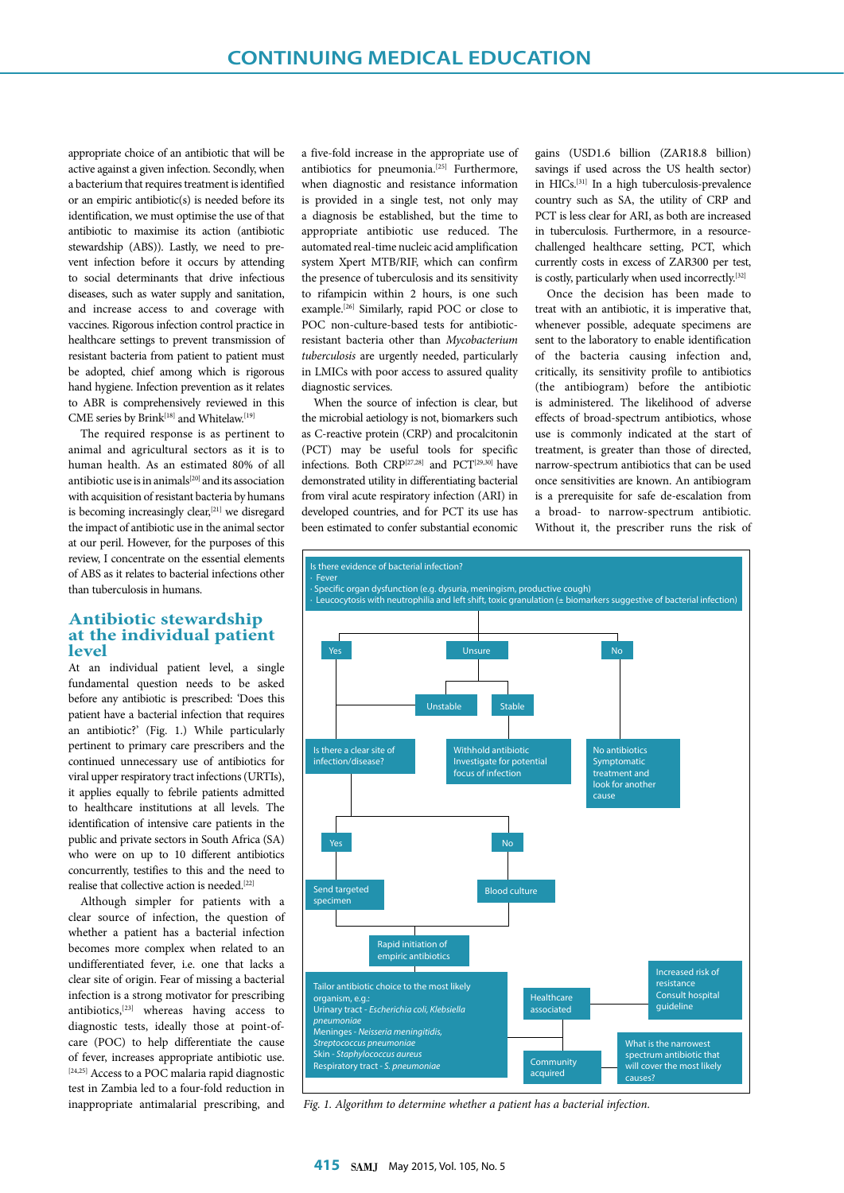appropriate choice of an antibiotic that will be active against a given infection. Secondly, when a bacterium that requires treatment is identified or an empiric antibiotic(s) is needed before its identification, we must optimise the use of that antibiotic to maximise its action (antibiotic stewardship (ABS)). Lastly, we need to prevent infection before it occurs by attending to social determinants that drive infectious diseases, such as water supply and sanitation, and increase access to and coverage with vaccines. Rigorous infection control practice in healthcare settings to prevent transmission of resistant bacteria from patient to patient must be adopted, chief among which is rigorous hand hygiene. Infection prevention as it relates to ABR is comprehensively reviewed in this CME series by Brink<sup>[18]</sup> and Whitelaw.<sup>[19]</sup>

The required response is as pertinent to animal and agricultural sectors as it is to human health. As an estimated 80% of all antibiotic use is in animals[20] and its association with acquisition of resistant bacteria by humans is becoming increasingly clear,<sup>[21]</sup> we disregard the impact of antibiotic use in the animal sector at our peril. However, for the purposes of this review, I concentrate on the essential elements of ABS as it relates to bacterial infections other than tuberculosis in humans.

# **Antibiotic stewardship at the individual patient level**

At an individual patient level, a single fundamental question needs to be asked before any antibiotic is prescribed: 'Does this patient have a bacterial infection that requires an antibiotic?' (Fig. 1.) While particularly pertinent to primary care prescribers and the continued unnecessary use of antibiotics for viral upper respiratory tract infections (URTIs), it applies equally to febrile patients admitted to healthcare institutions at all levels. The identification of intensive care patients in the public and private sectors in South Africa (SA) who were on up to 10 different antibiotics concurrently, testifies to this and the need to realise that collective action is needed.[22]

Although simpler for patients with a clear source of infection, the question of whether a patient has a bacterial infection becomes more complex when related to an undifferentiated fever, i.e. one that lacks a clear site of origin. Fear of missing a bacterial infection is a strong motivator for prescribing antibiotics, $[23]$  whereas having access to diagnostic tests, ideally those at point-ofcare (POC) to help differentiate the cause of fever, increases appropriate antibiotic use. [24,25] Access to a POC malaria rapid diagnostic test in Zambia led to a four-fold reduction in inappropriate antimalarial prescribing, and

a five-fold increase in the appropriate use of antibiotics for pneumonia.[25] Furthermore, when diagnostic and resistance information is provided in a single test, not only may a diagnosis be established, but the time to appropriate antibiotic use reduced. The automated real-time nucleic acid amplification system Xpert MTB/RIF, which can confirm the presence of tuberculosis and its sensitivity to rifampicin within 2 hours, is one such example.[26] Similarly, rapid POC or close to POC non-culture-based tests for antibioticresistant bacteria other than *Mycobacterium tuberculosis* are urgently needed, particularly in LMICs with poor access to assured quality diagnostic services.

When the source of infection is clear, but the microbial aetiology is not, biomarkers such as C-reactive protein (CRP) and procalcitonin (PCT) may be useful tools for specific infections. Both CRP[27,28] and PCT[29,30] have demonstrated utility in differentiating bacterial from viral acute respiratory infection (ARI) in developed countries, and for PCT its use has been estimated to confer substantial economic

gains (USD1.6 billion (ZAR18.8 billion) savings if used across the US health sector) in HICs.[31] In a high tuberculosis-prevalence country such as SA, the utility of CRP and PCT is less clear for ARI, as both are increased in tuberculosis. Furthermore, in a resourcechallenged healthcare setting, PCT, which currently costs in excess of ZAR300 per test, is costly, particularly when used incorrectly.[32]

Once the decision has been made to treat with an antibiotic, it is imperative that, whenever possible, adequate specimens are sent to the laboratory to enable identification of the bacteria causing infection and, critically, its sensitivity profile to antibiotics (the antibiogram) before the antibiotic is administered. The likelihood of adverse effects of broad-spectrum antibiotics, whose use is commonly indicated at the start of treatment, is greater than those of directed, narrow-spectrum antibiotics that can be used once sensitivities are known. An antibiogram is a prerequisite for safe de-escalation from a broad- to narrow-spectrum antibiotic. Without it, the prescriber runs the risk of



*Fig. 1. Algorithm to determine whether a patient has a bacterial infection.*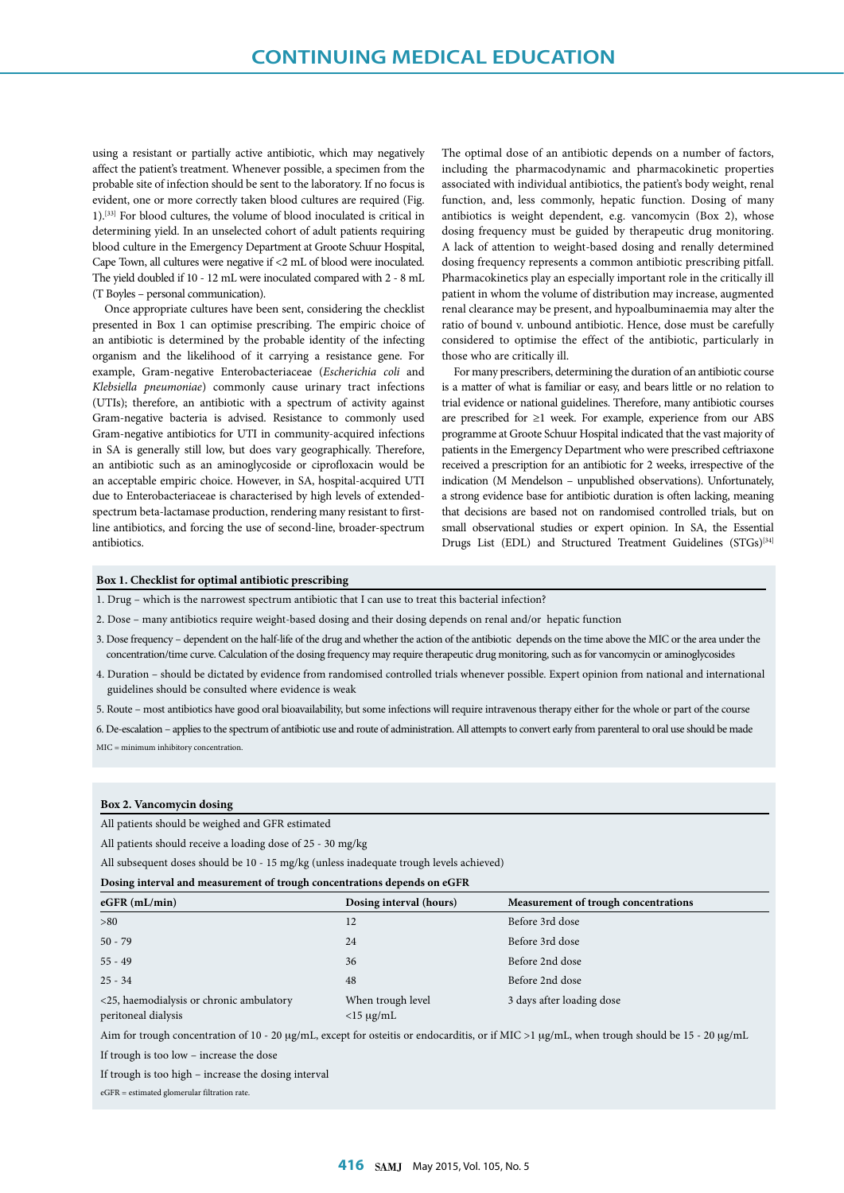using a resistant or partially active antibiotic, which may negatively affect the patient's treatment. Whenever possible, a specimen from the probable site of infection should be sent to the laboratory. If no focus is evident, one or more correctly taken blood cultures are required (Fig. 1).[33] For blood cultures, the volume of blood inoculated is critical in determining yield. In an unselected cohort of adult patients requiring blood culture in the Emergency Department at Groote Schuur Hospital, Cape Town, all cultures were negative if <2 mL of blood were inoculated. The yield doubled if 10 - 12 mL were inoculated compared with 2 - 8 mL (T Boyles – personal communication).

Once appropriate cultures have been sent, considering the checklist presented in Box 1 can optimise prescribing. The empiric choice of an antibiotic is determined by the probable identity of the infecting organism and the likelihood of it carrying a resistance gene. For example, Gram-negative Enterobacteriaceae (*Escherichia coli* and *Klebsiella pneumoniae*) commonly cause urinary tract infections (UTIs); therefore, an antibiotic with a spectrum of activity against Gram-negative bacteria is advised. Resistance to commonly used Gram-negative antibiotics for UTI in community-acquired infections in SA is generally still low, but does vary geographically. Therefore, an antibiotic such as an aminoglycoside or ciprofloxacin would be an acceptable empiric choice. However, in SA, hospital-acquired UTI due to Enterobacteriaceae is characterised by high levels of extendedspectrum beta-lactamase production, rendering many resistant to firstline antibiotics, and forcing the use of second-line, broader-spectrum antibiotics.

The optimal dose of an antibiotic depends on a number of factors, including the pharmacodynamic and pharmacokinetic properties associated with individual antibiotics, the patient's body weight, renal function, and, less commonly, hepatic function. Dosing of many antibiotics is weight dependent, e.g. vancomycin (Box 2), whose dosing frequency must be guided by therapeutic drug monitoring. A lack of attention to weight-based dosing and renally determined dosing frequency represents a common antibiotic prescribing pitfall. Pharmacokinetics play an especially important role in the critically ill patient in whom the volume of distribution may increase, augmented renal clearance may be present, and hypoalbuminaemia may alter the ratio of bound v. unbound antibiotic. Hence, dose must be carefully considered to optimise the effect of the antibiotic, particularly in those who are critically ill.

For many prescribers, determining the duration of an antibiotic course is a matter of what is familiar or easy, and bears little or no relation to trial evidence or national guidelines. Therefore, many antibiotic courses are prescribed for ≥1 week. For example, experience from our ABS programme at Groote Schuur Hospital indicated that the vast majority of patients in the Emergency Department who were prescribed ceftriaxone received a prescription for an antibiotic for 2 weeks, irrespective of the indication (M Mendelson – unpublished observations). Unfortunately, a strong evidence base for antibiotic duration is often lacking, meaning that decisions are based not on randomised controlled trials, but on small observational studies or expert opinion. In SA, the Essential Drugs List (EDL) and Structured Treatment Guidelines (STGs)<sup>[34]</sup>

### **Box 1. Checklist for optimal antibiotic prescribing**

1. Drug – which is the narrowest spectrum antibiotic that I can use to treat this bacterial infection?

2. Dose – many antibiotics require weight-based dosing and their dosing depends on renal and/or hepatic function

- 3. Dose frequency dependent on the half-life of the drug and whether the action of the antibiotic depends on the time above the MIC or the area under the concentration/time curve. Calculation of the dosing frequency may require therapeutic drug monitoring, such as for vancomycin or aminoglycosides
- 4. Duration should be dictated by evidence from randomised controlled trials whenever possible. Expert opinion from national and international guidelines should be consulted where evidence is weak

5. Route – most antibiotics have good oral bioavailability, but some infections will require intravenous therapy either for the whole or part of the course

6. De-escalation – applies to the spectrum of antibiotic use and route of administration. All attempts to convert early from parenteral to oral use should be made MIC = minimum inhibitory concentration.

#### **Box 2. Vancomycin dosing**

All patients should be weighed and GFR estimated

```
All patients should receive a loading dose of 25 - 30 mg/kg
```
All subsequent doses should be 10 - 15 mg/kg (unless inadequate trough levels achieved)

| Dosing interval and measurement of trough concentrations depends on eGFR |  |
|--------------------------------------------------------------------------|--|
|                                                                          |  |

| $eGFR$ (mL/min)                                                 | Dosing interval (hours)           | Measurement of trough concentrations |  |  |  |  |  |  |
|-----------------------------------------------------------------|-----------------------------------|--------------------------------------|--|--|--|--|--|--|
| >80                                                             | 12                                | Before 3rd dose                      |  |  |  |  |  |  |
| $50 - 79$                                                       | 24                                | Before 3rd dose                      |  |  |  |  |  |  |
| $55 - 49$                                                       | 36                                | Before 2nd dose                      |  |  |  |  |  |  |
| $25 - 34$                                                       | 48                                | Before 2nd dose                      |  |  |  |  |  |  |
| <25, haemodialysis or chronic ambulatory<br>peritoneal dialysis | When trough level<br>$<$ 15 µg/mL | 3 days after loading dose            |  |  |  |  |  |  |

Aim for trough concentration of 10 - 20 µg/mL, except for osteitis or endocarditis, or if MIC >1 µg/mL, when trough should be 15 - 20 µg/mL

If trough is too low – increase the dose

If trough is too high – increase the dosing interval

eGFR = estimated glomerular filtration rate.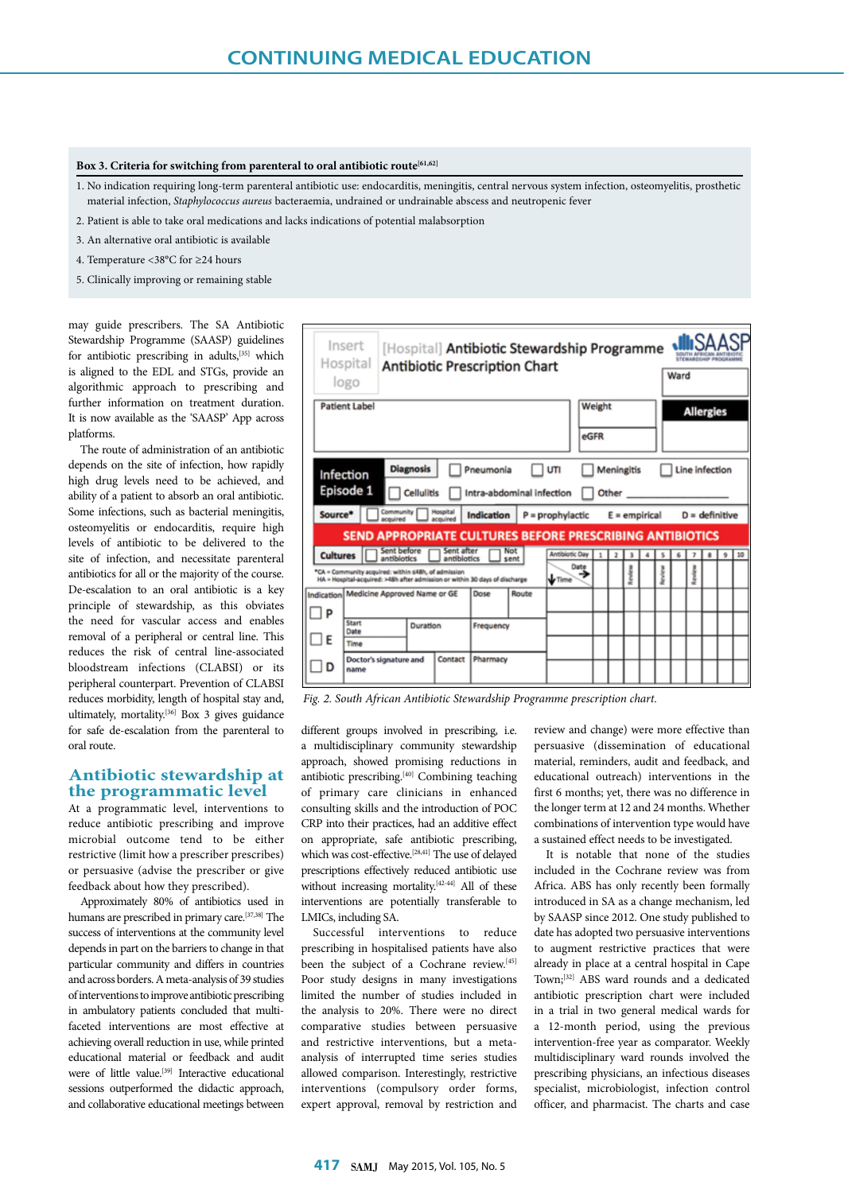## Box 3. Criteria for switching from parenteral to oral antibiotic route<sup>[61,62]</sup>

1. No indication requiring long-term parenteral antibiotic use: endocarditis, meningitis, central nervous system infection, osteomyelitis, prosthetic material infection, *Staphylococcus aureus* bacteraemia, undrained or undrainable abscess and neutropenic fever

- 2. Patient is able to take oral medications and lacks indications of potential malabsorption
- 3. An alternative oral antibiotic is available
- 4. Temperature <38°C for ≥24 hours
- 5. Clinically improving or remaining stable

may guide prescribers. The SA Antibiotic Stewardship Programme (SAASP) guidelines for antibiotic prescribing in adults,<sup>[35]</sup> which is aligned to the EDL and STGs, provide an algorithmic approach to prescribing and further information on treatment duration. It is now available as the 'SAASP' App across platforms.

The route of administration of an antibiotic depends on the site of infection, how rapidly high drug levels need to be achieved, and ability of a patient to absorb an oral antibiotic. Some infections, such as bacterial meningitis, osteomyelitis or endocarditis, require high levels of antibiotic to be delivered to the site of infection, and necessitate parenteral antibiotics for all or the majority of the course. De-escalation to an oral antibiotic is a key principle of stewardship, as this obviates the need for vascular access and enables removal of a peripheral or central line. This reduces the risk of central line-associated bloodstream infections (CLABSI) or its peripheral counterpart. Prevention of CLABSI reduces morbidity, length of hospital stay and, ultimately, mortality.[36] Box 3 gives guidance for safe de-escalation from the parenteral to oral route.

# **Antibiotic stewardship at the programmatic level**

At a programmatic level, interventions to reduce antibiotic prescribing and improve microbial outcome tend to be either restrictive (limit how a prescriber prescribes) or persuasive (advise the prescriber or give feedback about how they prescribed).

Approximately 80% of antibiotics used in humans are prescribed in primary care.<sup>[37,38]</sup> The success of interventions at the community level depends in part on the barriers to change in that particular community and differs in countries and across borders. A meta-analysis of 39 studies of interventions to improve antibiotic prescribing in ambulatory patients concluded that multifaceted interventions are most effective at achieving overall reduction in use, while printed educational material or feedback and audit were of little value.<sup>[39]</sup> Interactive educational sessions outperformed the didactic approach, and collaborative educational meetings between

|                                                            | Insert<br>[Hospital] Antibiotic Stewardship Programme<br>Hospital<br><b>Antibiotic Prescription Chart</b><br>Ward<br>logo                                                          |                                   |  |      |           |       |  |                       |      |              |                |        |   |   |   |   |   |   |    |
|------------------------------------------------------------|------------------------------------------------------------------------------------------------------------------------------------------------------------------------------------|-----------------------------------|--|------|-----------|-------|--|-----------------------|------|--------------|----------------|--------|---|---|---|---|---|---|----|
| <b>Patient Label</b><br>Weight<br><b>Allergies</b><br>eGFR |                                                                                                                                                                                    |                                   |  |      |           |       |  |                       |      |              |                |        |   |   |   |   |   |   |    |
|                                                            | <b>Diagnosis</b><br>Pneumonia<br>Meningitis<br>Line infection<br>UTI<br>Infection<br>Episode 1<br><b>Cellulitis</b><br>Intra-abdominal infection<br>Other<br>Community<br>Hospital |                                   |  |      |           |       |  |                       |      |              |                |        |   |   |   |   |   |   |    |
|                                                            | Source*<br>Indication<br>$P = prophylactic$<br>$E =$ empirical<br>$D =$ definitive<br>acquired<br><b>SEND APPROPRIATE CULTURES BEFORE PRESCRIBING ANTIBIOTICS</b>                  |                                   |  |      |           |       |  |                       |      |              |                |        |   |   |   |   |   |   |    |
|                                                            | Sent before<br>Sent after<br>Not<br><b>Cultures</b><br>antibiotics<br>antibiotics<br>sent                                                                                          |                                   |  |      |           |       |  | <b>Antibiotic Day</b> | Date | $\mathbf{1}$ | $\overline{ }$ | 1      | 4 | s | ٤ | 7 | ŝ | 9 | 10 |
|                                                            | *CA = Community acquired: within s48h, of admission<br>HA = Hospital-acquired: >48h after admission or within 30 days of discharge                                                 |                                   |  |      |           |       |  | <b>V</b> Time         |      |              |                | Revier |   |   |   | Š |   |   |    |
|                                                            | Indication   Medicine Approved Name or GE                                                                                                                                          |                                   |  | Dose |           | Route |  |                       |      |              |                |        |   |   |   |   |   |   |    |
| P<br>H                                                     | <b>Start</b><br>Date                                                                                                                                                               | Duration                          |  |      | Frequency |       |  |                       |      |              |                |        |   |   |   |   |   |   |    |
| F                                                          | Time                                                                                                                                                                               |                                   |  |      |           |       |  |                       |      |              |                |        |   |   |   |   |   |   |    |
| D                                                          | name                                                                                                                                                                               | Contact<br>Doctor's signature and |  |      | Pharmacy  |       |  |                       |      |              |                |        |   |   |   |   |   |   |    |

*Fig. 2. South African Antibiotic Stewardship Programme prescription chart.*

different groups involved in prescribing, i.e. a multidisciplinary community stewardship approach, showed promising reductions in antibiotic prescribing.[40] Combining teaching of primary care clinicians in enhanced consulting skills and the introduction of POC CRP into their practices, had an additive effect on appropriate, safe antibiotic prescribing, which was cost-effective.<sup>[28,41]</sup> The use of delayed prescriptions effectively reduced antibiotic use without increasing mortality.<sup>[42-44]</sup> All of these interventions are potentially transferable to LMICs, including SA.

Successful interventions to reduce prescribing in hospitalised patients have also been the subject of a Cochrane review.[45] Poor study designs in many investigations limited the number of studies included in the analysis to 20%. There were no direct comparative studies between persuasive and restrictive interventions, but a metaanalysis of interrupted time series studies allowed comparison. Interestingly, restrictive interventions (compulsory order forms, expert approval, removal by restriction and

review and change) were more effective than persuasive (dissemination of educational material, reminders, audit and feedback, and educational outreach) interventions in the first 6 months; yet, there was no difference in the longer term at 12 and 24 months. Whether combinations of intervention type would have a sustained effect needs to be investigated.

It is notable that none of the studies included in the Cochrane review was from Africa. ABS has only recently been formally introduced in SA as a change mechanism, led by SAASP since 2012. One study published to date has adopted two persuasive interventions to augment restrictive practices that were already in place at a central hospital in Cape Town;[32] ABS ward rounds and a dedicated antibiotic prescription chart were included in a trial in two general medical wards for a 12-month period, using the previous intervention-free year as comparator. Weekly multidisciplinary ward rounds involved the prescribing physicians, an infectious diseases specialist, microbiologist, infection control officer, and pharmacist. The charts and case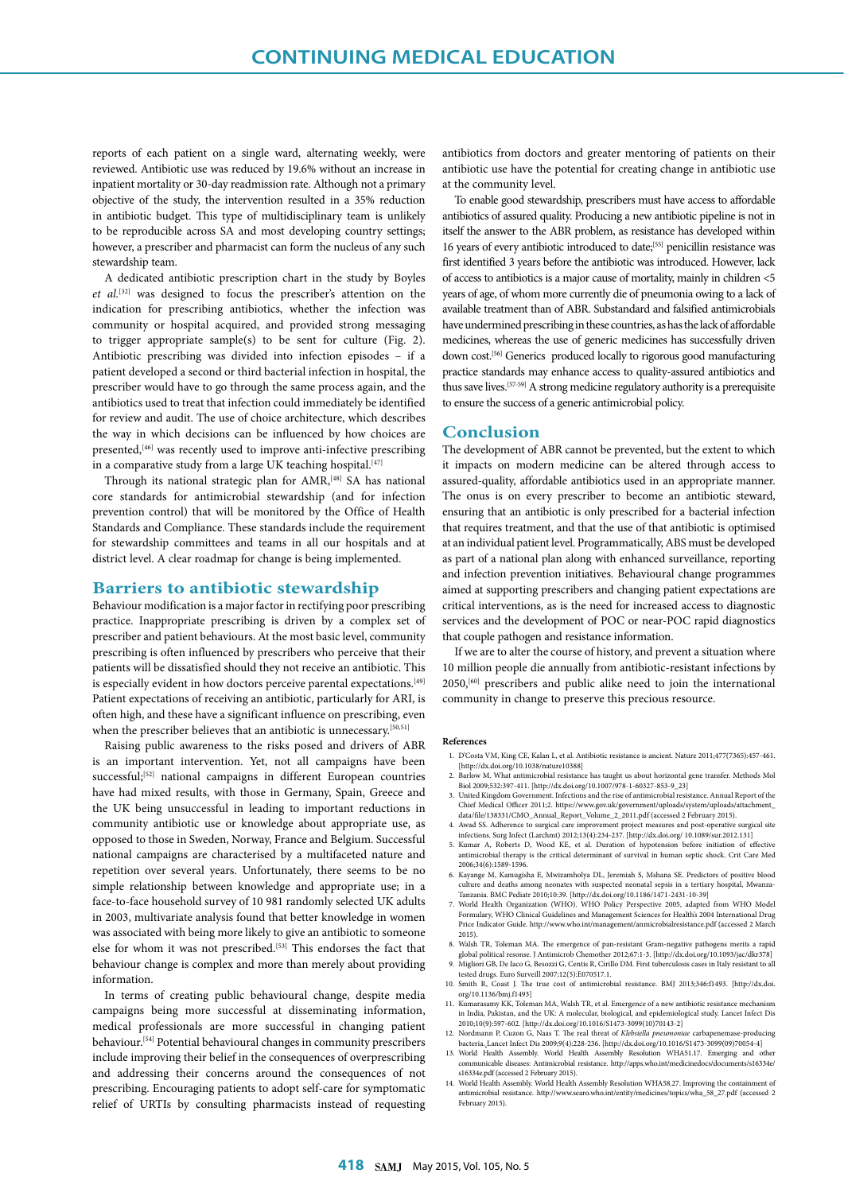reports of each patient on a single ward, alternating weekly, were reviewed. Antibiotic use was reduced by 19.6% without an increase in inpatient mortality or 30-day readmission rate. Although not a primary objective of the study, the intervention resulted in a 35% reduction in antibiotic budget. This type of multidisciplinary team is unlikely to be reproducible across SA and most developing country settings; however, a prescriber and pharmacist can form the nucleus of any such stewardship team.

A dedicated antibiotic prescription chart in the study by Boyles *et al.*[32] was designed to focus the prescriber's attention on the indication for prescribing antibiotics, whether the infection was community or hospital acquired, and provided strong messaging to trigger appropriate sample(s) to be sent for culture (Fig. 2). Antibiotic prescribing was divided into infection episodes – if a patient developed a second or third bacterial infection in hospital, the prescriber would have to go through the same process again, and the antibiotics used to treat that infection could immediately be identified for review and audit. The use of choice architecture, which describes the way in which decisions can be influenced by how choices are presented,<sup>[46]</sup> was recently used to improve anti-infective prescribing in a comparative study from a large UK teaching hospital.<sup>[47]</sup>

Through its national strategic plan for AMR,[48] SA has national core standards for antimicrobial stewardship (and for infection prevention control) that will be monitored by the Office of Health Standards and Compliance. These standards include the requirement for stewardship committees and teams in all our hospitals and at district level. A clear roadmap for change is being implemented.

## **Barriers to antibiotic stewardship**

Behaviour modification is a major factor in rectifying poor prescribing practice. Inappropriate prescribing is driven by a complex set of prescriber and patient behaviours. At the most basic level, community prescribing is often influenced by prescribers who perceive that their patients will be dissatisfied should they not receive an antibiotic. This is especially evident in how doctors perceive parental expectations.<sup>[49]</sup> Patient expectations of receiving an antibiotic, particularly for ARI, is often high, and these have a significant influence on prescribing, even when the prescriber believes that an antibiotic is unnecessary.<sup>[50,51]</sup>

Raising public awareness to the risks posed and drivers of ABR is an important intervention. Yet, not all campaigns have been successful;<sup>[52]</sup> national campaigns in different European countries have had mixed results, with those in Germany, Spain, Greece and the UK being unsuccessful in leading to important reductions in community antibiotic use or knowledge about appropriate use, as opposed to those in Sweden, Norway, France and Belgium. Successful national campaigns are characterised by a multifaceted nature and repetition over several years. Unfortunately, there seems to be no simple relationship between knowledge and appropriate use; in a face-to-face household survey of 10 981 randomly selected UK adults in 2003, multivariate analysis found that better knowledge in women was associated with being more likely to give an antibiotic to someone else for whom it was not prescribed.<sup>[53]</sup> This endorses the fact that behaviour change is complex and more than merely about providing information.

In terms of creating public behavioural change, despite media campaigns being more successful at disseminating information, medical professionals are more successful in changing patient behaviour.[54] Potential behavioural changes in community prescribers include improving their belief in the consequences of overprescribing and addressing their concerns around the consequences of not prescribing. Encouraging patients to adopt self-care for symptomatic relief of URTIs by consulting pharmacists instead of requesting antibiotics from doctors and greater mentoring of patients on their antibiotic use have the potential for creating change in antibiotic use at the community level.

To enable good stewardship, prescribers must have access to affordable antibiotics of assured quality. Producing a new antibiotic pipeline is not in itself the answer to the ABR problem, as resistance has developed within 16 years of every antibiotic introduced to date;<sup>[55]</sup> penicillin resistance was first identified 3 years before the antibiotic was introduced. However, lack of access to antibiotics is a major cause of mortality, mainly in children <5 years of age, of whom more currently die of pneumonia owing to a lack of available treatment than of ABR. Substandard and falsified antimicrobials have undermined prescribing in these countries, as has the lack of affordable medicines, whereas the use of generic medicines has successfully driven down cost.[56] Generics produced locally to rigorous good manufacturing practice standards may enhance access to quality-assured antibiotics and thus save lives.[57-59] A strong medicine regulatory authority is a prerequisite to ensure the success of a generic antimicrobial policy.

## **Conclusion**

The development of ABR cannot be prevented, but the extent to which it impacts on modern medicine can be altered through access to assured-quality, affordable antibiotics used in an appropriate manner. The onus is on every prescriber to become an antibiotic steward, ensuring that an antibiotic is only prescribed for a bacterial infection that requires treatment, and that the use of that antibiotic is optimised at an individual patient level. Programmatically, ABS must be developed as part of a national plan along with enhanced surveillance, reporting and infection prevention initiatives. Behavioural change programmes aimed at supporting prescribers and changing patient expectations are critical interventions, as is the need for increased access to diagnostic services and the development of POC or near-POC rapid diagnostics that couple pathogen and resistance information.

If we are to alter the course of history, and prevent a situation where 10 million people die annually from antibiotic-resistant infections by 2050,[60] prescribers and public alike need to join the international community in change to preserve this precious resource.

#### **References**

- 1. D'Costa VM, King CE, Kalan L, et al. Antibiotic resistance is ancient. Nature 2011;477(7365):457-461. [http://dx.doi.org/10.1038/nature10388]
- 2. Barlow M. What antimicrobial resistance has taught us about horizontal gene transfer. Methods Mol Biol 2009;532:397-411. [http://dx.doi.org/10.1007/978-1-60327-853-9\_23] 3. United Kingdom Government. Infections and the rise of antimicrobial resistance. Annual Report of the
- Chief Medical Officer 2011;2. https://www.gov.uk/government/uploads/system/uploads/attachment\_ data/file/138331/CMO\_Annual\_Report\_Volume\_2\_2011.pdf (accessed 2 February 2015).
- 4. Awad SS. Adherence to surgical care improvement project measures and post-operative surgical site infections. Surg Infect (Larchmt) 2012;13(4):234-237. [http://dx.doi.org/ 10.1089/sur.2012.131]
- 5. Kumar A, Roberts D, Wood KE, et al. Duration of hypotension before initiation of effective antimicrobial therapy is the critical determinant of survival in human septic shock. Crit Care Med 2006;34(6):1589-1596.
- 6. Kayange M, Kamugisha E, Mwizamholya DL, Jeremiah S, Mshana SE. Predictors of positive blood culture and deaths among neonates with suspected neonatal sepsis in a tertiary hospital, Mwanza-Tanzania. BMC Pediatr 2010;10:39. [http://dx.doi.org/10.1186/1471-2431-10-39]
- 7. World Health Organization (WHO). WHO Policy Perspective 2005, adapted from WHO Model Formulary, WHO Clinical Guidelines and Management Sciences for Health's 2004 International Drug Price Indicator Guide. http://www.who.int/management/anmicrobialresistance.pdf (accessed 2 March
- 2015). 8. Walsh TR, Toleman MA. The emergence of pan-resistant Gram-negative pathogens merits a rapid global political resonse. J Antimicrob Chemother 2012;67:1-3. [http://dx.doi.org/10.1093/jac/dkr378]
- 9. Migliori GB, De Iaco G, Besozzi G, Centis R, Cirillo DM. First tuberculosis cases in Italy resistant to all tested drugs. Euro Surveill 2007;12(5):E070517.1.
- 10. Smith R, Coast J. The true cost of antimicrobial resistance. BMJ 2013;346:f1493. [http://dx.doi. org/10.1136/bmj.f1493]
- 11. Kumarasamy KK, Toleman MA, Walsh TR, et al. Emergence of a new antibiotic resistance mechanism in India, Pakistan, and the UK: A molecular, biological, and epidemiological study. Lancet Infect Dis<br>2010;10(9):597-602. [http://dx.doi.org/10.1016/S1473-3099(10)70143-2]<br>12. Nordmann P, Cuzon G, Naas T. The real threat o
- bacteria. Lancet Infect Dis 2009;9(4):228-236. [http://dx.doi.org/10.1016/S1473-3099(09)70054-4] 13. World Health Assembly. World Health Assembly Resolution WHA51.17. Emerging and other
- communicable diseases: Antimicrobial resistance. http://apps.who.int/medicinedocs/documents/s16334e/ s16334e.pdf (accessed 2 February 2015).
- 14. World Health Assembly. World Health Assembly Resolution WHA58.27. Improving the containment of antimicrobial resistance. http://www.searo.who.int/entity/medicines/topics/wha\_58\_27.pdf (accessed 2 February 2015).